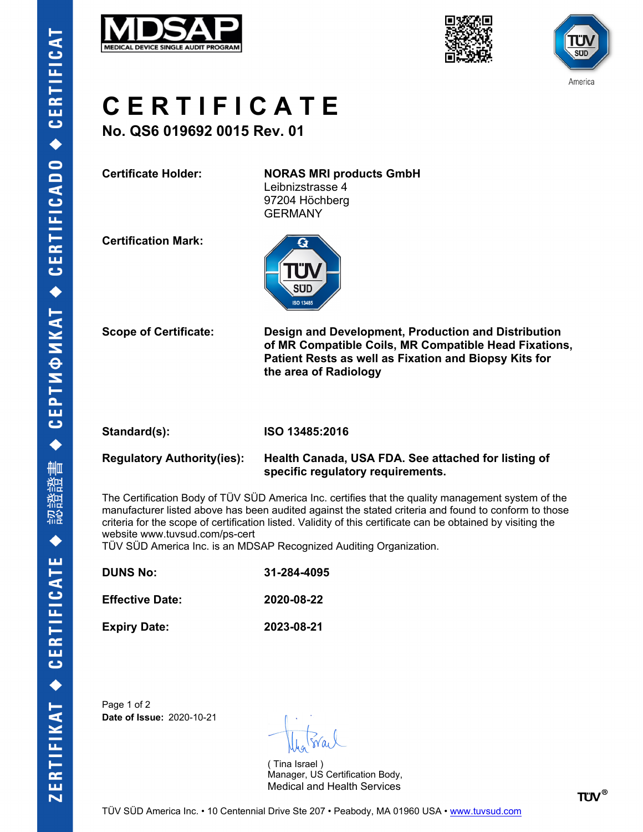





## **C E R T I F I C A T E**

**No. QS6 019692 0015 Rev. 01**

**Certificate Holder: NORAS MRI products GmbH**

Leibnizstrasse 4 97204 Höchberg GERMANY

**Certification Mark:**



**Scope of Certificate: Design and Development, Production and Distribution of MR Compatible Coils, MR Compatible Head Fixations, Patient Rests as well as Fixation and Biopsy Kits for the area of Radiology**

**Standard(s): ISO 13485:2016**

### **Regulatory Authority(ies): Health Canada, USA FDA. See attached for listing of specific regulatory requirements.**

The Certification Body of TÜV SÜD America Inc. certifies that the quality management system of the manufacturer listed above has been audited against the stated criteria and found to conform to those criteria for the scope of certification listed. Validity of this certificate can be obtained by visiting the website www.tuvsud.com/ps-cert

TÜV SÜD America Inc. is an MDSAP Recognized Auditing Organization.

| <b>DUNS No:</b> | 31-284-4095 |
|-----------------|-------------|
|                 |             |

**Effective Date: 2020-08-22**

**Expiry Date: 2023-08-21**

Page 1 of 2 **Date of Issue:** 2020-10-21

( Tina Israel ) Manager, US Certification Body, Medical and Health Services